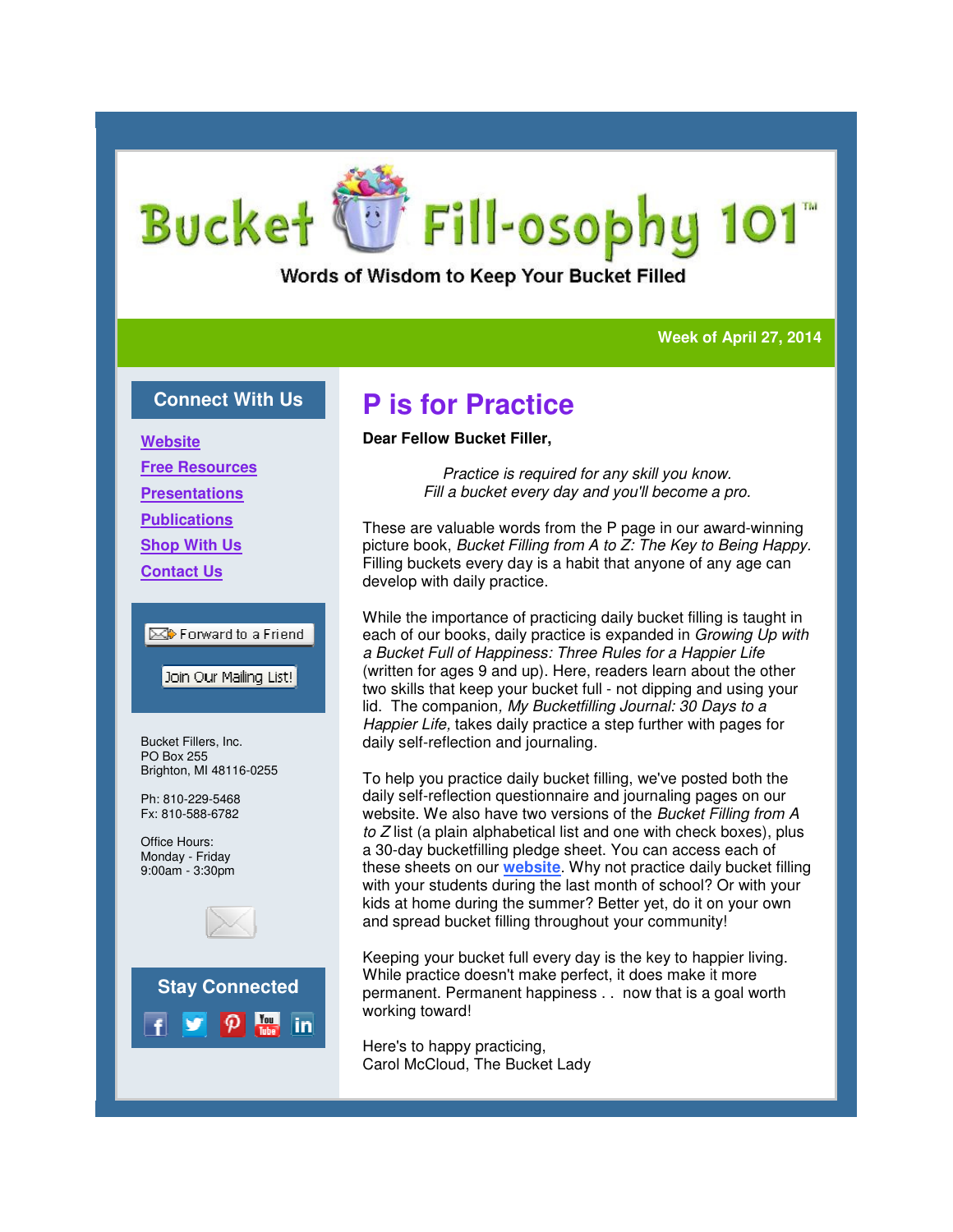# **Bucket** Fill-osophy 101

### Words of Wisdom to Keep Your Bucket Filled

#### **Week of April 27, 2014 Week of**

### **Connect With Us**

**Website Free Resources Presentations Publications Shop With Us Contact Us**

**ES** Forward to a Friend

Join Our Mailing List!

Bucket Fillers, Inc. PO Box 255 Brighton, MI 48116-0255

Ph: 810-229-5468 Fx: 810-588-6782

Office Hours: Monday - Friday 9:00am - 3:30pm





## **P is for Practice**

#### **Dear Fellow Bucket Filler,**

*Practice is required for any skill you know. Fiactice is required for any skill you know.*<br>*Fill a bucket every day and you'll become a pro.* 

These are valuable words from the P page in our award-winning picture book, *Bucket Filling from A to Z: The Key to Being Happy. to Z:* Filling buckets every day is a habit that anyone of any age can develop with daily practice. Filling buckets every day is a habit that anyone of any age can<br>develop with daily practice.<br>While the importance of practicing daily bucket filling is taught in

each of our books, daily practice is expanded in *Growing Up with a Bucket Full of Happiness: Three Rules for a Happier Life Bucket Full of Rules for* (written for ages 9 and up). Here, readers learn about the other two skills that keep your bucket full - not dipping and using your lid. The companion, My Bucketfilling Journal: 30 Days to a *Happier Life,* takes daily practice a step further with pages for daily self-reflection and journaling. *Happier Life,* takes daily practice a step further with pages for<br>daily self-reflection and journaling.<br>To help you practice daily bucket filling, we've posted both the

daily self-reflection questionnaire and journaling pages on our website. We also have two versions of the *Bucket Filling from A to Z* list (a plain alphabetical list and one with check boxes), plus to Z list (a plain alphabetical list and one with check boxes), p<br>a 30-day bucketfilling pledge sheet. You can access each of these sheets on our **website**. Why not practice daily bucket filling these sheets on our <mark>website</mark>. Why not practice daily bucket filling<br>with your students during the last month of school? Or with your kids at home during the summer? Better yet, do it on your own and spread bucket filling throughout your community!

Keeping your bucket full every day is the key to happier living. kids at home during the summer? Better yet, do it on your<br>and spread bucket filling throughout your community!<br>Keeping your bucket full every day is the key to happier liv<br>While practice doesn't make perfect, it does make permanent. Permanent happiness . . now that is a goal worth working toward!

Here's to happy practicing, Carol McCloud, The Bucket Lady